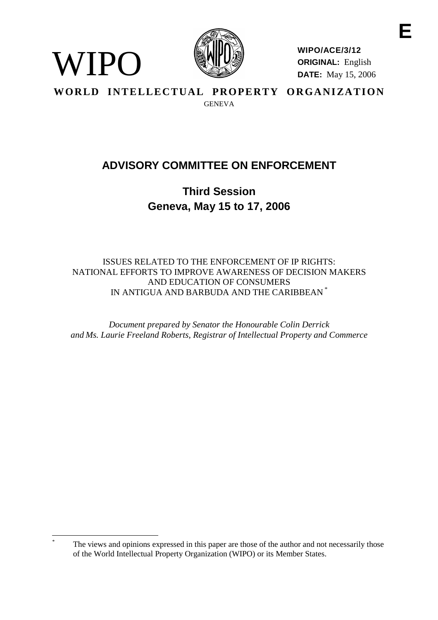

WIPO

**WIPO/ACE/3/12 ORIGINAL:** English **DATE:** May 15, 2006

WORLD INTELLECTUAL PROPERTY ORGANIZATION **GENEVA** 

# **ADVISORY COMMITTEE ON ENFORCEMENT**

**Third Session Geneva, May 15 to 17, 2006**

ISSUES RELATED TO THE ENFORCEMENT OF IP RIGHTS: NATIONAL EFFORTS TO IMPROVE AWARENESS OF DECISION MAKERS AND EDUCATION OF CONSUMERS IN ANTIGUA AND BARBUDA AND THE CARIBBEAN \*

*Document prepared by Senator the Honourable Colin Derrick and Ms. Laurie Freeland Roberts, Registrar of Intellectual Property and Commerce* 

The views and opinions expressed in this paper are those of the author and not necessarily those of the World Intellectual Property Organization (WIPO) or its Member States.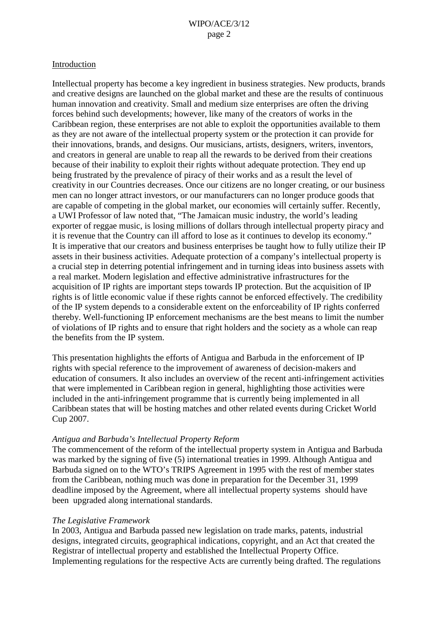#### Introduction

Intellectual property has become a key ingredient in business strategies. New products, brands and creative designs are launched on the global market and these are the results of continuous human innovation and creativity. Small and medium size enterprises are often the driving forces behind such developments; however, like many of the creators of works in the Caribbean region, these enterprises are not able to exploit the opportunities available to them as they are not aware of the intellectual property system or the protection it can provide for their innovations, brands, and designs. Our musicians, artists, designers, writers, inventors, and creators in general are unable to reap all the rewards to be derived from their creations because of their inability to exploit their rights without adequate protection. They end up being frustrated by the prevalence of piracy of their works and as a result the level of creativity in our Countries decreases. Once our citizens are no longer creating, or our business men can no longer attract investors, or our manufacturers can no longer produce goods that are capable of competing in the global market, our economies will certainly suffer. Recently, a UWI Professor of law noted that, "The Jamaican music industry, the world's leading exporter of reggae music, is losing millions of dollars through intellectual property piracy and it is revenue that the Country can ill afford to lose as it continues to develop its economy." It is imperative that our creators and business enterprises be taught how to fully utilize their IP assets in their business activities. Adequate protection of a company's intellectual property is a crucial step in deterring potential infringement and in turning ideas into business assets with a real market. Modern legislation and effective administrative infrastructures for the acquisition of IP rights are important steps towards IP protection. But the acquisition of IP rights is of little economic value if these rights cannot be enforced effectively. The credibility of the IP system depends to a considerable extent on the enforceability of IP rights conferred thereby. Well-functioning IP enforcement mechanisms are the best means to limit the number of violations of IP rights and to ensure that right holders and the society as a whole can reap the benefits from the IP system.

This presentation highlights the efforts of Antigua and Barbuda in the enforcement of IP rights with special reference to the improvement of awareness of decision-makers and education of consumers. It also includes an overview of the recent anti-infringement activities that were implemented in Caribbean region in general, highlighting those activities were included in the anti-infringement programme that is currently being implemented in all Caribbean states that will be hosting matches and other related events during Cricket World Cup 2007.

## *Antigua and Barbuda's Intellectual Property Reform*

The commencement of the reform of the intellectual property system in Antigua and Barbuda was marked by the signing of five (5) international treaties in 1999. Although Antigua and Barbuda signed on to the WTO's TRIPS Agreement in 1995 with the rest of member states from the Caribbean, nothing much was done in preparation for the December 31, 1999 deadline imposed by the Agreement, where all intellectual property systems should have been upgraded along international standards.

#### *The Legislative Framework*

In 2003, Antigua and Barbuda passed new legislation on trade marks, patents, industrial designs, integrated circuits, geographical indications, copyright, and an Act that created the Registrar of intellectual property and established the Intellectual Property Office. Implementing regulations for the respective Acts are currently being drafted. The regulations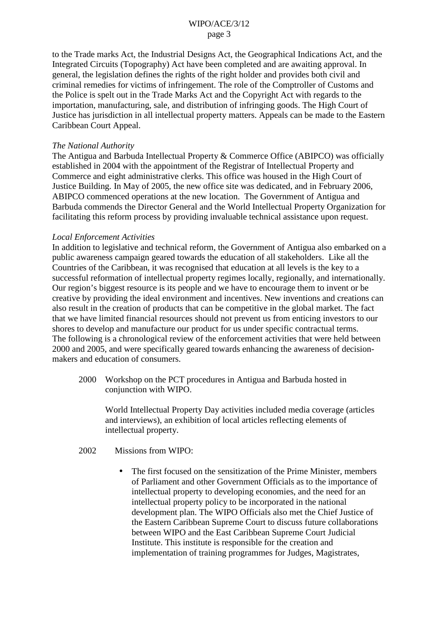to the Trade marks Act, the Industrial Designs Act, the Geographical Indications Act, and the Integrated Circuits (Topography) Act have been completed and are awaiting approval. In general, the legislation defines the rights of the right holder and provides both civil and criminal remedies for victims of infringement. The role of the Comptroller of Customs and the Police is spelt out in the Trade Marks Act and the Copyright Act with regards to the importation, manufacturing, sale, and distribution of infringing goods. The High Court of Justice has jurisdiction in all intellectual property matters. Appeals can be made to the Eastern Caribbean Court Appeal.

#### *The National Authority*

The Antigua and Barbuda Intellectual Property & Commerce Office (ABIPCO) was officially established in 2004 with the appointment of the Registrar of Intellectual Property and Commerce and eight administrative clerks. This office was housed in the High Court of Justice Building. In May of 2005, the new office site was dedicated, and in February 2006, ABIPCO commenced operations at the new location. The Government of Antigua and Barbuda commends the Director General and the World Intellectual Property Organization for facilitating this reform process by providing invaluable technical assistance upon request.

#### *Local Enforcement Activities*

In addition to legislative and technical reform, the Government of Antigua also embarked on a public awareness campaign geared towards the education of all stakeholders. Like all the Countries of the Caribbean, it was recognised that education at all levels is the key to a successful reformation of intellectual property regimes locally, regionally, and internationally. Our region's biggest resource is its people and we have to encourage them to invent or be creative by providing the ideal environment and incentives. New inventions and creations can also result in the creation of products that can be competitive in the global market. The fact that we have limited financial resources should not prevent us from enticing investors to our shores to develop and manufacture our product for us under specific contractual terms. The following is a chronological review of the enforcement activities that were held between 2000 and 2005, and were specifically geared towards enhancing the awareness of decisionmakers and education of consumers.

2000 Workshop on the PCT procedures in Antigua and Barbuda hosted in conjunction with WIPO.

World Intellectual Property Day activities included media coverage (articles and interviews), an exhibition of local articles reflecting elements of intellectual property.

2002 Missions from WIPO:

• The first focused on the sensitization of the Prime Minister, members of Parliament and other Government Officials as to the importance of intellectual property to developing economies, and the need for an intellectual property policy to be incorporated in the national development plan. The WIPO Officials also met the Chief Justice of the Eastern Caribbean Supreme Court to discuss future collaborations between WIPO and the East Caribbean Supreme Court Judicial Institute. This institute is responsible for the creation and implementation of training programmes for Judges, Magistrates,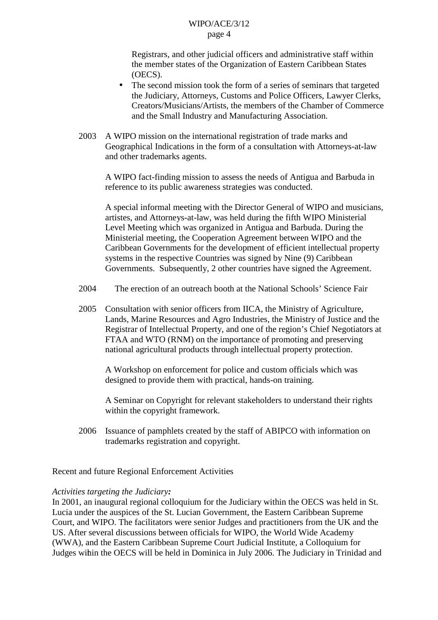Registrars, and other judicial officers and administrative staff within the member states of the Organization of Eastern Caribbean States (OECS).

- The second mission took the form of a series of seminars that targeted the Judiciary, Attorneys, Customs and Police Officers, Lawyer Clerks, Creators/Musicians/Artists, the members of the Chamber of Commerce and the Small Industry and Manufacturing Association.
- 2003 A WIPO mission on the international registration of trade marks and Geographical Indications in the form of a consultation with Attorneys-at-law and other trademarks agents.

A WIPO fact-finding mission to assess the needs of Antigua and Barbuda in reference to its public awareness strategies was conducted.

A special informal meeting with the Director General of WIPO and musicians, artistes, and Attorneys-at-law, was held during the fifth WIPO Ministerial Level Meeting which was organized in Antigua and Barbuda. During the Ministerial meeting, the Cooperation Agreement between WIPO and the Caribbean Governments for the development of efficient intellectual property systems in the respective Countries was signed by Nine (9) Caribbean Governments. Subsequently, 2 other countries have signed the Agreement.

- 2004 The erection of an outreach booth at the National Schools' Science Fair
- 2005 Consultation with senior officers from IICA, the Ministry of Agriculture, Lands, Marine Resources and Agro Industries, the Ministry of Justice and the Registrar of Intellectual Property, and one of the region's Chief Negotiators at FTAA and WTO (RNM) on the importance of promoting and preserving national agricultural products through intellectual property protection.

A Workshop on enforcement for police and custom officials which was designed to provide them with practical, hands-on training.

A Seminar on Copyright for relevant stakeholders to understand their rights within the copyright framework.

2006 Issuance of pamphlets created by the staff of ABIPCO with information on trademarks registration and copyright.

Recent and future Regional Enforcement Activities

# *Activities targeting the Judiciary:*

In 2001, an inaugural regional colloquium for the Judiciary within the OECS was held in St. Lucia under the auspices of the St. Lucian Government, the Eastern Caribbean Supreme Court, and WIPO. The facilitators were senior Judges and practitioners from the UK and the US. After several discussions between officials for WIPO, the World Wide Academy (WWA), and the Eastern Caribbean Supreme Court Judicial Institute, a Colloquium for Judges within the OECS will be held in Dominica in July 2006. The Judiciary in Trinidad and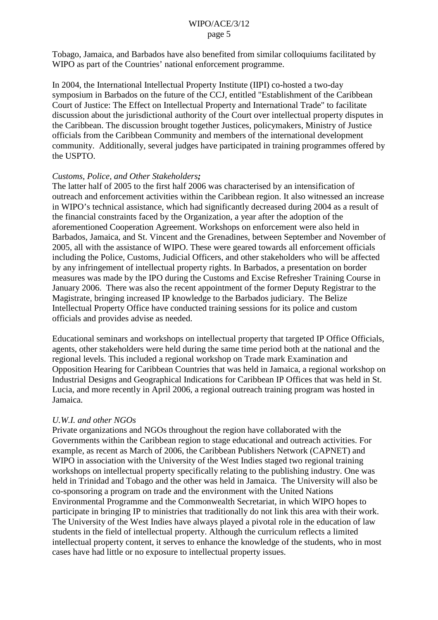Tobago, Jamaica, and Barbados have also benefited from similar colloquiums facilitated by WIPO as part of the Countries' national enforcement programme.

In 2004, the International Intellectual Property Institute (IIPI) co-hosted a two-day symposium in Barbados on the future of the CCJ, entitled "Establishment of the Caribbean Court of Justice: The Effect on Intellectual Property and International Trade" to facilitate discussion about the jurisdictional authority of the Court over intellectual property disputes in the Caribbean. The discussion brought together Justices, policymakers, Ministry of Justice officials from the Caribbean Community and members of the international development community. Additionally, several judges have participated in training programmes offered by the USPTO.

## *Customs, Police, and Other Stakeholders;*

The latter half of 2005 to the first half 2006 was characterised by an intensification of outreach and enforcement activities within the Caribbean region. It also witnessed an increase in WIPO's technical assistance, which had significantly decreased during 2004 as a result of the financial constraints faced by the Organization, a year after the adoption of the aforementioned Cooperation Agreement. Workshops on enforcement were also held in Barbados, Jamaica, and St. Vincent and the Grenadines, between September and November of 2005, all with the assistance of WIPO. These were geared towards all enforcement officials including the Police, Customs, Judicial Officers, and other stakeholders who will be affected by any infringement of intellectual property rights. In Barbados, a presentation on border measures was made by the IPO during the Customs and Excise Refresher Training Course in January 2006. There was also the recent appointment of the former Deputy Registrar to the Magistrate, bringing increased IP knowledge to the Barbados judiciary. The Belize Intellectual Property Office have conducted training sessions for its police and custom officials and provides advise as needed.

Educational seminars and workshops on intellectual property that targeted IP Office Officials, agents, other stakeholders were held during the same time period both at the national and the regional levels. This included a regional workshop on Trade mark Examination and Opposition Hearing for Caribbean Countries that was held in Jamaica, a regional workshop on Industrial Designs and Geographical Indications for Caribbean IP Offices that was held in St. Lucia, and more recently in April 2006, a regional outreach training program was hosted in Jamaica.

## *U.W.I. and other NGOs*

Private organizations and NGOs throughout the region have collaborated with the Governments within the Caribbean region to stage educational and outreach activities. For example, as recent as March of 2006, the Caribbean Publishers Network (CAPNET) and WIPO in association with the University of the West Indies staged two regional training workshops on intellectual property specifically relating to the publishing industry. One was held in Trinidad and Tobago and the other was held in Jamaica. The University will also be co-sponsoring a program on trade and the environment with the United Nations Environmental Programme and the Commonwealth Secretariat, in which WIPO hopes to participate in bringing IP to ministries that traditionally do not link this area with their work. The University of the West Indies have always played a pivotal role in the education of law students in the field of intellectual property. Although the curriculum reflects a limited intellectual property content, it serves to enhance the knowledge of the students, who in most cases have had little or no exposure to intellectual property issues.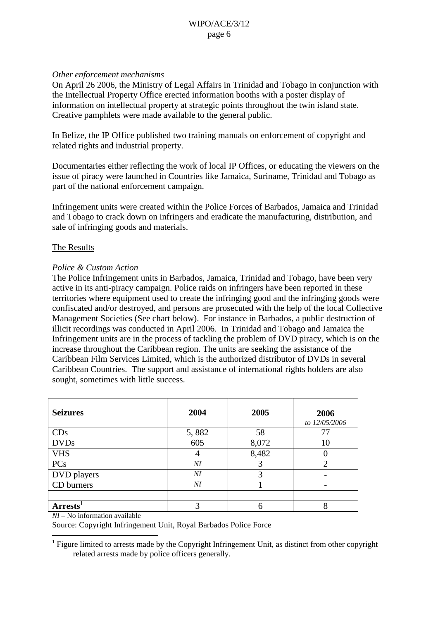# *Other enforcement mechanisms*

On April 26 2006, the Ministry of Legal Affairs in Trinidad and Tobago in conjunction with the Intellectual Property Office erected information booths with a poster display of information on intellectual property at strategic points throughout the twin island state. Creative pamphlets were made available to the general public.

In Belize, the IP Office published two training manuals on enforcement of copyright and related rights and industrial property.

Documentaries either reflecting the work of local IP Offices, or educating the viewers on the issue of piracy were launched in Countries like Jamaica, Suriname, Trinidad and Tobago as part of the national enforcement campaign.

Infringement units were created within the Police Forces of Barbados, Jamaica and Trinidad and Tobago to crack down on infringers and eradicate the manufacturing, distribution, and sale of infringing goods and materials.

# The Results

# *Police & Custom Action*

The Police Infringement units in Barbados, Jamaica, Trinidad and Tobago, have been very active in its anti-piracy campaign. Police raids on infringers have been reported in these territories where equipment used to create the infringing good and the infringing goods were confiscated and/or destroyed, and persons are prosecuted with the help of the local Collective Management Societies (See chart below). For instance in Barbados, a public destruction of illicit recordings was conducted in April 2006. In Trinidad and Tobago and Jamaica the Infringement units are in the process of tackling the problem of DVD piracy, which is on the increase throughout the Caribbean region. The units are seeking the assistance of the Caribbean Film Services Limited, which is the authorized distributor of DVDs in several Caribbean Countries. The support and assistance of international rights holders are also sought, sometimes with little success.

| <b>Seizures</b> | 2004           | 2005  | 2006<br>to 12/05/2006 |
|-----------------|----------------|-------|-----------------------|
| CDs             | 5,882          | 58    |                       |
| <b>DVDs</b>     | 605            | 8,072 | 10                    |
| <b>VHS</b>      | 4              | 8,482 |                       |
| PCs             | $\overline{M}$ |       |                       |
| DVD players     | $\overline{M}$ | っ     |                       |
| CD burners      | $\overline{M}$ |       |                       |
|                 |                |       |                       |
| Arrests'        |                |       |                       |

*NI* – No information available

Source: Copyright Infringement Unit, Royal Barbados Police Force

<sup>&</sup>lt;sup>1</sup> Figure limited to arrests made by the Copyright Infringement Unit, as distinct from other copyright related arrests made by police officers generally.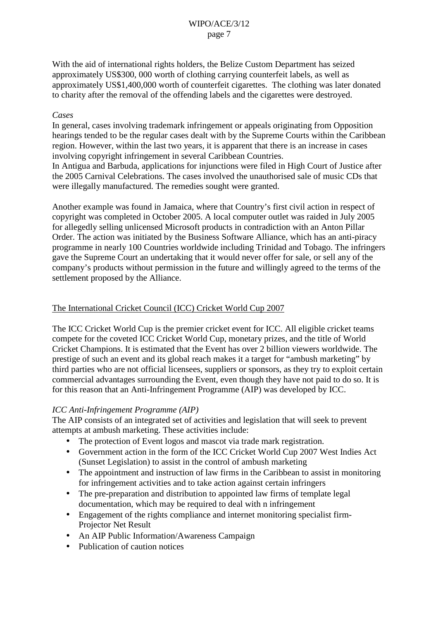With the aid of international rights holders, the Belize Custom Department has seized approximately US\$300, 000 worth of clothing carrying counterfeit labels, as well as approximately US\$1,400,000 worth of counterfeit cigarettes. The clothing was later donated to charity after the removal of the offending labels and the cigarettes were destroyed.

# *Cases*

In general, cases involving trademark infringement or appeals originating from Opposition hearings tended to be the regular cases dealt with by the Supreme Courts within the Caribbean region. However, within the last two years, it is apparent that there is an increase in cases involving copyright infringement in several Caribbean Countries.

In Antigua and Barbuda, applications for injunctions were filed in High Court of Justice after the 2005 Carnival Celebrations. The cases involved the unauthorised sale of music CDs that were illegally manufactured. The remedies sought were granted.

Another example was found in Jamaica, where that Country's first civil action in respect of copyright was completed in October 2005. A local computer outlet was raided in July 2005 for allegedly selling unlicensed Microsoft products in contradiction with an Anton Pillar Order. The action was initiated by the Business Software Alliance, which has an anti-piracy programme in nearly 100 Countries worldwide including Trinidad and Tobago. The infringers gave the Supreme Court an undertaking that it would never offer for sale, or sell any of the company's products without permission in the future and willingly agreed to the terms of the settlement proposed by the Alliance.

# The International Cricket Council (ICC) Cricket World Cup 2007

The ICC Cricket World Cup is the premier cricket event for ICC. All eligible cricket teams compete for the coveted ICC Cricket World Cup, monetary prizes, and the title of World Cricket Champions. It is estimated that the Event has over 2 billion viewers worldwide. The prestige of such an event and its global reach makes it a target for "ambush marketing" by third parties who are not official licensees, suppliers or sponsors, as they try to exploit certain commercial advantages surrounding the Event, even though they have not paid to do so. It is for this reason that an Anti-Infringement Programme (AIP) was developed by ICC.

## *ICC Anti-Infringement Programme (AIP)*

The AIP consists of an integrated set of activities and legislation that will seek to prevent attempts at ambush marketing. These activities include:

- The protection of Event logos and mascot via trade mark registration.
- Government action in the form of the ICC Cricket World Cup 2007 West Indies Act (Sunset Legislation) to assist in the control of ambush marketing
- The appointment and instruction of law firms in the Caribbean to assist in monitoring for infringement activities and to take action against certain infringers
- The pre-preparation and distribution to appointed law firms of template legal documentation, which may be required to deal with n infringement
- Engagement of the rights compliance and internet monitoring specialist firm-Projector Net Result
- An AIP Public Information/Awareness Campaign
- Publication of caution notices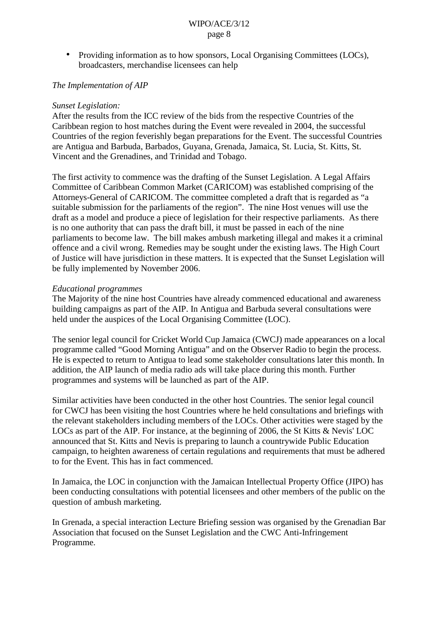• Providing information as to how sponsors, Local Organising Committees (LOCs), broadcasters, merchandise licensees can help

## *The Implementation of AIP*

#### *Sunset Legislation:*

After the results from the ICC review of the bids from the respective Countries of the Caribbean region to host matches during the Event were revealed in 2004, the successful Countries of the region feverishly began preparations for the Event. The successful Countries are Antigua and Barbuda, Barbados, Guyana, Grenada, Jamaica, St. Lucia, St. Kitts, St. Vincent and the Grenadines, and Trinidad and Tobago.

The first activity to commence was the drafting of the Sunset Legislation. A Legal Affairs Committee of Caribbean Common Market (CARICOM) was established comprising of the Attorneys-General of CARICOM. The committee completed a draft that is regarded as "a suitable submission for the parliaments of the region". The nine Host venues will use the draft as a model and produce a piece of legislation for their respective parliaments. As there is no one authority that can pass the draft bill, it must be passed in each of the nine parliaments to become law. The bill makes ambush marketing illegal and makes it a criminal offence and a civil wrong. Remedies may be sought under the existing laws. The High Court of Justice will have jurisdiction in these matters. It is expected that the Sunset Legislation will be fully implemented by November 2006.

#### *Educational programmes*

The Majority of the nine host Countries have already commenced educational and awareness building campaigns as part of the AIP. In Antigua and Barbuda several consultations were held under the auspices of the Local Organising Committee (LOC).

The senior legal council for Cricket World Cup Jamaica (CWCJ) made appearances on a local programme called "Good Morning Antigua" and on the Observer Radio to begin the process. He is expected to return to Antigua to lead some stakeholder consultations later this month. In addition, the AIP launch of media radio ads will take place during this month. Further programmes and systems will be launched as part of the AIP.

Similar activities have been conducted in the other host Countries. The senior legal council for CWCJ has been visiting the host Countries where he held consultations and briefings with the relevant stakeholders including members of the LOCs. Other activities were staged by the LOCs as part of the AIP. For instance, at the beginning of 2006, the St Kitts & Nevis' LOC announced that St. Kitts and Nevis is preparing to launch a countrywide Public Education campaign, to heighten awareness of certain regulations and requirements that must be adhered to for the Event. This has in fact commenced.

In Jamaica, the LOC in conjunction with the Jamaican Intellectual Property Office (JIPO) has been conducting consultations with potential licensees and other members of the public on the question of ambush marketing.

In Grenada, a special interaction Lecture Briefing session was organised by the Grenadian Bar Association that focused on the Sunset Legislation and the CWC Anti-Infringement Programme.